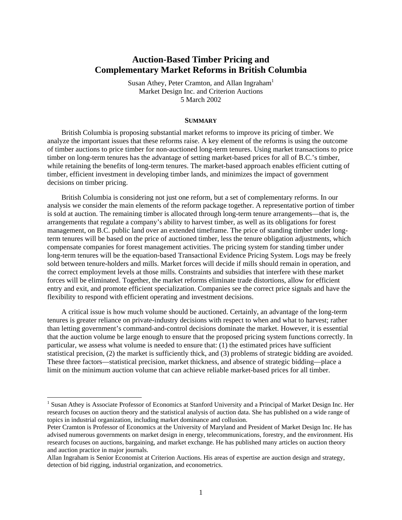# **Auction-Based Timber Pricing and Complementary Market Reforms in British Columbia**

Susan Athey, Peter Cramton, and Allan Ingraham<sup>1</sup> Market Design Inc. and Criterion Auctions 5 March 2002

#### **SUMMARY**

British Columbia is proposing substantial market reforms to improve its pricing of timber. We analyze the important issues that these reforms raise. A key element of the reforms is using the outcome of timber auctions to price timber for non-auctioned long-term tenures. Using market transactions to price timber on long-term tenures has the advantage of setting market-based prices for all of B.C.'s timber, while retaining the benefits of long-term tenures. The market-based approach enables efficient cutting of timber, efficient investment in developing timber lands, and minimizes the impact of government decisions on timber pricing.

British Columbia is considering not just one reform, but a set of complementary reforms. In our analysis we consider the main elements of the reform package together. A representative portion of timber is sold at auction. The remaining timber is allocated through long-term tenure arrangements—that is, the arrangements that regulate a company's ability to harvest timber, as well as its obligations for forest management, on B.C. public land over an extended timeframe. The price of standing timber under longterm tenures will be based on the price of auctioned timber, less the tenure obligation adjustments, which compensate companies for forest management activities. The pricing system for standing timber under long-term tenures will be the equation-based Transactional Evidence Pricing System. Logs may be freely sold between tenure-holders and mills. Market forces will decide if mills should remain in operation, and the correct employment levels at those mills. Constraints and subsidies that interfere with these market forces will be eliminated. Together, the market reforms eliminate trade distortions, allow for efficient entry and exit, and promote efficient specialization. Companies see the correct price signals and have the flexibility to respond with efficient operating and investment decisions.

A critical issue is how much volume should be auctioned. Certainly, an advantage of the long-term tenures is greater reliance on private-industry decisions with respect to when and what to harvest; rather than letting government's command-and-control decisions dominate the market. However, it is essential that the auction volume be large enough to ensure that the proposed pricing system functions correctly. In particular, we assess what volume is needed to ensure that: (1) the estimated prices have sufficient statistical precision, (2) the market is sufficiently thick, and (3) problems of strategic bidding are avoided. These three factors—statistical precision, market thickness, and absence of strategic bidding—place a limit on the minimum auction volume that can achieve reliable market-based prices for all timber.

<sup>1&</sup>lt;br><sup>1</sup> Susan Athey is Associate Professor of Economics at Stanford University and a Principal of Market Design Inc. Her research focuses on auction theory and the statistical analysis of auction data. She has published on a wide range of topics in industrial organization, including market dominance and collusion.

Peter Cramton is Professor of Economics at the University of Maryland and President of Market Design Inc. He has advised numerous governments on market design in energy, telecommunications, forestry, and the environment. His research focuses on auctions, bargaining, and market exchange. He has published many articles on auction theory and auction practice in major journals.

Allan Ingraham is Senior Economist at Criterion Auctions. His areas of expertise are auction design and strategy, detection of bid rigging, industrial organization, and econometrics.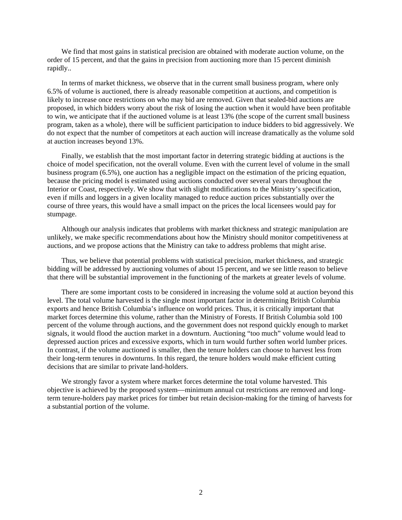We find that most gains in statistical precision are obtained with moderate auction volume, on the order of 15 percent, and that the gains in precision from auctioning more than 15 percent diminish rapidly..

In terms of market thickness, we observe that in the current small business program, where only 6.5% of volume is auctioned, there is already reasonable competition at auctions, and competition is likely to increase once restrictions on who may bid are removed. Given that sealed-bid auctions are proposed, in which bidders worry about the risk of losing the auction when it would have been profitable to win, we anticipate that if the auctioned volume is at least 13% (the scope of the current small business program, taken as a whole), there will be sufficient participation to induce bidders to bid aggressively. We do not expect that the number of competitors at each auction will increase dramatically as the volume sold at auction increases beyond 13%.

Finally, we establish that the most important factor in deterring strategic bidding at auctions is the choice of model specification, not the overall volume. Even with the current level of volume in the small business program (6.5%), one auction has a negligible impact on the estimation of the pricing equation, because the pricing model is estimated using auctions conducted over several years throughout the Interior or Coast, respectively. We show that with slight modifications to the Ministry's specification, even if mills and loggers in a given locality managed to reduce auction prices substantially over the course of three years, this would have a small impact on the prices the local licensees would pay for stumpage.

Although our analysis indicates that problems with market thickness and strategic manipulation are unlikely, we make specific recommendations about how the Ministry should monitor competitiveness at auctions, and we propose actions that the Ministry can take to address problems that might arise.

Thus, we believe that potential problems with statistical precision, market thickness, and strategic bidding will be addressed by auctioning volumes of about 15 percent, and we see little reason to believe that there will be substantial improvement in the functioning of the markets at greater levels of volume.

There are some important costs to be considered in increasing the volume sold at auction beyond this level. The total volume harvested is the single most important factor in determining British Columbia exports and hence British Columbia's influence on world prices. Thus, it is critically important that market forces determine this volume, rather than the Ministry of Forests. If British Columbia sold 100 percent of the volume through auctions, and the government does not respond quickly enough to market signals, it would flood the auction market in a downturn. Auctioning "too much" volume would lead to depressed auction prices and excessive exports, which in turn would further soften world lumber prices. In contrast, if the volume auctioned is smaller, then the tenure holders can choose to harvest less from their long-term tenures in downturns. In this regard, the tenure holders would make efficient cutting decisions that are similar to private land-holders.

We strongly favor a system where market forces determine the total volume harvested. This objective is achieved by the proposed system—minimum annual cut restrictions are removed and longterm tenure-holders pay market prices for timber but retain decision-making for the timing of harvests for a substantial portion of the volume.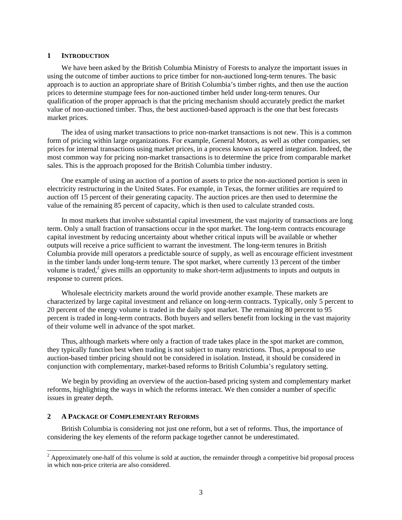#### **1 INTRODUCTION**

We have been asked by the British Columbia Ministry of Forests to analyze the important issues in using the outcome of timber auctions to price timber for non-auctioned long-term tenures. The basic approach is to auction an appropriate share of British Columbia's timber rights, and then use the auction prices to determine stumpage fees for non-auctioned timber held under long-term tenures. Our qualification of the proper approach is that the pricing mechanism should accurately predict the market value of non-auctioned timber. Thus, the best auctioned-based approach is the one that best forecasts market prices.

The idea of using market transactions to price non-market transactions is not new. This is a common form of pricing within large organizations. For example, General Motors, as well as other companies, set prices for internal transactions using market prices, in a process known as tapered integration. Indeed, the most common way for pricing non-market transactions is to determine the price from comparable market sales. This is the approach proposed for the British Columbia timber industry.

One example of using an auction of a portion of assets to price the non-auctioned portion is seen in electricity restructuring in the United States. For example, in Texas, the former utilities are required to auction off 15 percent of their generating capacity. The auction prices are then used to determine the value of the remaining 85 percent of capacity, which is then used to calculate stranded costs.

In most markets that involve substantial capital investment, the vast majority of transactions are long term. Only a small fraction of transactions occur in the spot market. The long-term contracts encourage capital investment by reducing uncertainty about whether critical inputs will be available or whether outputs will receive a price sufficient to warrant the investment. The long-term tenures in British Columbia provide mill operators a predictable source of supply, as well as encourage efficient investment in the timber lands under long-term tenure. The spot market, where currently 13 percent of the timber volume is traded, $2$  gives mills an opportunity to make short-term adjustments to inputs and outputs in response to current prices.

Wholesale electricity markets around the world provide another example. These markets are characterized by large capital investment and reliance on long-term contracts. Typically, only 5 percent to 20 percent of the energy volume is traded in the daily spot market. The remaining 80 percent to 95 percent is traded in long-term contracts. Both buyers and sellers benefit from locking in the vast majority of their volume well in advance of the spot market.

Thus, although markets where only a fraction of trade takes place in the spot market are common, they typically function best when trading is not subject to many restrictions. Thus, a proposal to use auction-based timber pricing should not be considered in isolation. Instead, it should be considered in conjunction with complementary, market-based reforms to British Columbia's regulatory setting.

We begin by providing an overview of the auction-based pricing system and complementary market reforms, highlighting the ways in which the reforms interact. We then consider a number of specific issues in greater depth.

## **2 A PACKAGE OF COMPLEMENTARY REFORMS**

l

British Columbia is considering not just one reform, but a set of reforms. Thus, the importance of considering the key elements of the reform package together cannot be underestimated.

 $2$  Approximately one-half of this volume is sold at auction, the remainder through a competitive bid proposal process in which non-price criteria are also considered.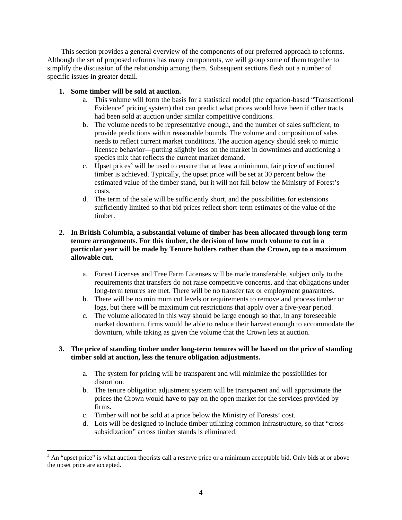This section provides a general overview of the components of our preferred approach to reforms. Although the set of proposed reforms has many components, we will group some of them together to simplify the discussion of the relationship among them. Subsequent sections flesh out a number of specific issues in greater detail.

# **1. Some timber will be sold at auction.**

l

- a. This volume will form the basis for a statistical model (the equation-based "Transactional Evidence" pricing system) that can predict what prices would have been if other tracts had been sold at auction under similar competitive conditions.
- b. The volume needs to be representative enough, and the number of sales sufficient, to provide predictions within reasonable bounds. The volume and composition of sales needs to reflect current market conditions. The auction agency should seek to mimic licensee behavior—putting slightly less on the market in downtimes and auctioning a species mix that reflects the current market demand.
- c. Upset prices<sup>3</sup> will be used to ensure that at least a minimum, fair price of auctioned timber is achieved. Typically, the upset price will be set at 30 percent below the estimated value of the timber stand, but it will not fall below the Ministry of Forest's costs.
- d. The term of the sale will be sufficiently short, and the possibilities for extensions sufficiently limited so that bid prices reflect short-term estimates of the value of the timber.

# **2. In British Columbia, a substantial volume of timber has been allocated through long-term tenure arrangements. For this timber, the decision of how much volume to cut in a particular year will be made by Tenure holders rather than the Crown, up to a maximum allowable cut.**

- a. Forest Licenses and Tree Farm Licenses will be made transferable, subject only to the requirements that transfers do not raise competitive concerns, and that obligations under long-term tenures are met. There will be no transfer tax or employment guarantees.
- b. There will be no minimum cut levels or requirements to remove and process timber or logs, but there will be maximum cut restrictions that apply over a five-year period.
- c. The volume allocated in this way should be large enough so that, in any foreseeable market downturn, firms would be able to reduce their harvest enough to accommodate the downturn, while taking as given the volume that the Crown lets at auction.

# **3. The price of standing timber under long-term tenures will be based on the price of standing timber sold at auction, less the tenure obligation adjustments.**

- a. The system for pricing will be transparent and will minimize the possibilities for distortion.
- b. The tenure obligation adjustment system will be transparent and will approximate the prices the Crown would have to pay on the open market for the services provided by firms.
- c. Timber will not be sold at a price below the Ministry of Forests' cost.
- d. Lots will be designed to include timber utilizing common infrastructure, so that "crosssubsidization" across timber stands is eliminated.

 $3$  An "upset price" is what auction theorists call a reserve price or a minimum acceptable bid. Only bids at or above the upset price are accepted.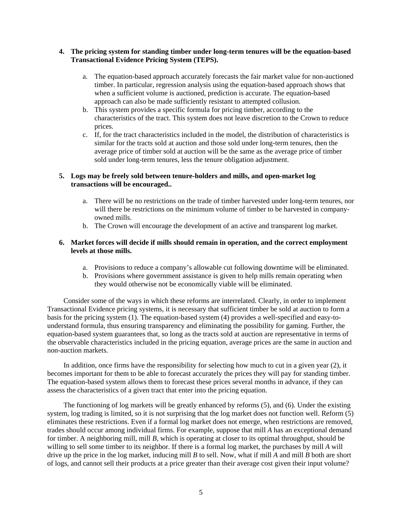## **4. The pricing system for standing timber under long-term tenures will be the equation-based Transactional Evidence Pricing System (TEPS).**

- a. The equation-based approach accurately forecasts the fair market value for non-auctioned timber. In particular, regression analysis using the equation-based approach shows that when a sufficient volume is auctioned, prediction is accurate. The equation-based approach can also be made sufficiently resistant to attempted collusion.
- b. This system provides a specific formula for pricing timber, according to the characteristics of the tract. This system does not leave discretion to the Crown to reduce prices.
- c. If, for the tract characteristics included in the model, the distribution of characteristics is similar for the tracts sold at auction and those sold under long-term tenures, then the average price of timber sold at auction will be the same as the average price of timber sold under long-term tenures, less the tenure obligation adjustment.

## **5. Logs may be freely sold between tenure-holders and mills, and open-market log transactions will be encouraged..**

- a. There will be no restrictions on the trade of timber harvested under long-term tenures, nor will there be restrictions on the minimum volume of timber to be harvested in companyowned mills.
- b. The Crown will encourage the development of an active and transparent log market.

## **6. Market forces will decide if mills should remain in operation, and the correct employment levels at those mills.**

- a. Provisions to reduce a company's allowable cut following downtime will be eliminated.
- b. Provisions where government assistance is given to help mills remain operating when they would otherwise not be economically viable will be eliminated.

Consider some of the ways in which these reforms are interrelated. Clearly, in order to implement Transactional Evidence pricing systems, it is necessary that sufficient timber be sold at auction to form a basis for the pricing system (1). The equation-based system (4) provides a well-specified and easy-tounderstand formula, thus ensuring transparency and eliminating the possibility for gaming. Further, the equation-based system guarantees that, so long as the tracts sold at auction are representative in terms of the observable characteristics included in the pricing equation, average prices are the same in auction and non-auction markets.

In addition, once firms have the responsibility for selecting how much to cut in a given year (2), it becomes important for them to be able to forecast accurately the prices they will pay for standing timber. The equation-based system allows them to forecast these prices several months in advance, if they can assess the characteristics of a given tract that enter into the pricing equation.

The functioning of log markets will be greatly enhanced by reforms (5), and (6). Under the existing system, log trading is limited, so it is not surprising that the log market does not function well. Reform (5) eliminates these restrictions. Even if a formal log market does not emerge, when restrictions are removed, trades should occur among individual firms. For example, suppose that mill *A* has an exceptional demand for timber. A neighboring mill, mill *B*, which is operating at closer to its optimal throughput, should be willing to sell some timber to its neighbor. If there is a formal log market, the purchases by mill *A* will drive up the price in the log market, inducing mill *B* to sell. Now, what if mill *A* and mill *B* both are short of logs, and cannot sell their products at a price greater than their average cost given their input volume?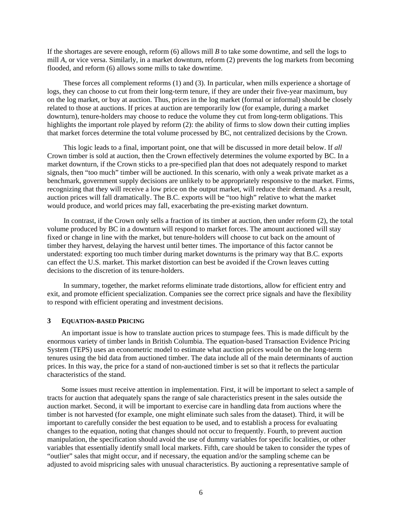If the shortages are severe enough, reform (6) allows mill *B* to take some downtime, and sell the logs to mill *A*, or vice versa. Similarly, in a market downturn, reform (2) prevents the log markets from becoming flooded, and reform (6) allows some mills to take downtime.

These forces all complement reforms (1) and (3). In particular, when mills experience a shortage of logs, they can choose to cut from their long-term tenure, if they are under their five-year maximum, buy on the log market, or buy at auction. Thus, prices in the log market (formal or informal) should be closely related to those at auctions. If prices at auction are temporarily low (for example, during a market downturn), tenure-holders may choose to reduce the volume they cut from long-term obligations. This highlights the important role played by reform (2): the ability of firms to slow down their cutting implies that market forces determine the total volume processed by BC, not centralized decisions by the Crown.

This logic leads to a final, important point, one that will be discussed in more detail below. If *all*  Crown timber is sold at auction, then the Crown effectively determines the volume exported by BC. In a market downturn, if the Crown sticks to a pre-specified plan that does not adequately respond to market signals, then "too much" timber will be auctioned. In this scenario, with only a weak private market as a benchmark, government supply decisions are unlikely to be appropriately responsive to the market. Firms, recognizing that they will receive a low price on the output market, will reduce their demand. As a result, auction prices will fall dramatically. The B.C. exports will be "too high" relative to what the market would produce, and world prices may fall, exacerbating the pre-existing market downturn.

In contrast, if the Crown only sells a fraction of its timber at auction, then under reform (2), the total volume produced by BC in a downturn will respond to market forces. The amount auctioned will stay fixed or change in line with the market, but tenure-holders will choose to cut back on the amount of timber they harvest, delaying the harvest until better times. The importance of this factor cannot be understated: exporting too much timber during market downturns is the primary way that B.C. exports can effect the U.S. market. This market distortion can best be avoided if the Crown leaves cutting decisions to the discretion of its tenure-holders.

In summary, together, the market reforms eliminate trade distortions, allow for efficient entry and exit, and promote efficient specialization. Companies see the correct price signals and have the flexibility to respond with efficient operating and investment decisions.

#### **3 EQUATION-BASED PRICING**

An important issue is how to translate auction prices to stumpage fees. This is made difficult by the enormous variety of timber lands in British Columbia. The equation-based Transaction Evidence Pricing System (TEPS) uses an econometric model to estimate what auction prices would be on the long-term tenures using the bid data from auctioned timber. The data include all of the main determinants of auction prices. In this way, the price for a stand of non-auctioned timber is set so that it reflects the particular characteristics of the stand.

Some issues must receive attention in implementation. First, it will be important to select a sample of tracts for auction that adequately spans the range of sale characteristics present in the sales outside the auction market. Second, it will be important to exercise care in handling data from auctions where the timber is not harvested (for example, one might eliminate such sales from the dataset). Third, it will be important to carefully consider the best equation to be used, and to establish a process for evaluating changes to the equation, noting that changes should not occur to frequently. Fourth, to prevent auction manipulation, the specification should avoid the use of dummy variables for specific localities, or other variables that essentially identify small local markets. Fifth, care should be taken to consider the types of "outlier" sales that might occur, and if necessary, the equation and/or the sampling scheme can be adjusted to avoid mispricing sales with unusual characteristics. By auctioning a representative sample of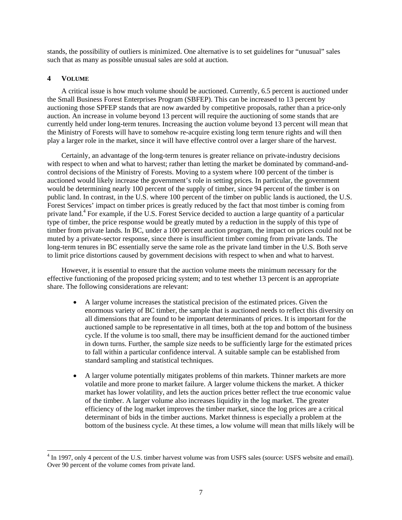stands, the possibility of outliers is minimized. One alternative is to set guidelines for "unusual" sales such that as many as possible unusual sales are sold at auction.

#### **4 VOLUME**

1

A critical issue is how much volume should be auctioned. Currently, 6.5 percent is auctioned under the Small Business Forest Enterprises Program (SBFEP). This can be increased to 13 percent by auctioning those SPFEP stands that are now awarded by competitive proposals, rather than a price-only auction. An increase in volume beyond 13 percent will require the auctioning of some stands that are currently held under long-term tenures. Increasing the auction volume beyond 13 percent will mean that the Ministry of Forests will have to somehow re-acquire existing long term tenure rights and will then play a larger role in the market, since it will have effective control over a larger share of the harvest.

Certainly, an advantage of the long-term tenures is greater reliance on private-industry decisions with respect to when and what to harvest; rather than letting the market be dominated by command-andcontrol decisions of the Ministry of Forests. Moving to a system where 100 percent of the timber is auctioned would likely increase the government's role in setting prices. In particular, the government would be determining nearly 100 percent of the supply of timber, since 94 percent of the timber is on public land. In contrast, in the U.S. where 100 percent of the timber on public lands is auctioned, the U.S. Forest Services' impact on timber prices is greatly reduced by the fact that most timber is coming from private land.<sup>4</sup> For example, if the U.S. Forest Service decided to auction a large quantity of a particular type of timber, the price response would be greatly muted by a reduction in the supply of this type of timber from private lands. In BC, under a 100 percent auction program, the impact on prices could not be muted by a private-sector response, since there is insufficient timber coming from private lands. The long-term tenures in BC essentially serve the same role as the private land timber in the U.S. Both serve to limit price distortions caused by government decisions with respect to when and what to harvest.

However, it is essential to ensure that the auction volume meets the minimum necessary for the effective functioning of the proposed pricing system; and to test whether 13 percent is an appropriate share. The following considerations are relevant:

- A larger volume increases the statistical precision of the estimated prices. Given the enormous variety of BC timber, the sample that is auctioned needs to reflect this diversity on all dimensions that are found to be important determinants of prices. It is important for the auctioned sample to be representative in all times, both at the top and bottom of the business cycle. If the volume is too small, there may be insufficient demand for the auctioned timber in down turns. Further, the sample size needs to be sufficiently large for the estimated prices to fall within a particular confidence interval. A suitable sample can be established from standard sampling and statistical techniques.
- A larger volume potentially mitigates problems of thin markets. Thinner markets are more volatile and more prone to market failure. A larger volume thickens the market. A thicker market has lower volatility, and lets the auction prices better reflect the true economic value of the timber. A larger volume also increases liquidity in the log market. The greater efficiency of the log market improves the timber market, since the log prices are a critical determinant of bids in the timber auctions. Market thinness is especially a problem at the bottom of the business cycle. At these times, a low volume will mean that mills likely will be

<sup>&</sup>lt;sup>4</sup> In 1997, only 4 percent of the U.S. timber harvest volume was from USFS sales (source: USFS website and email). Over 90 percent of the volume comes from private land.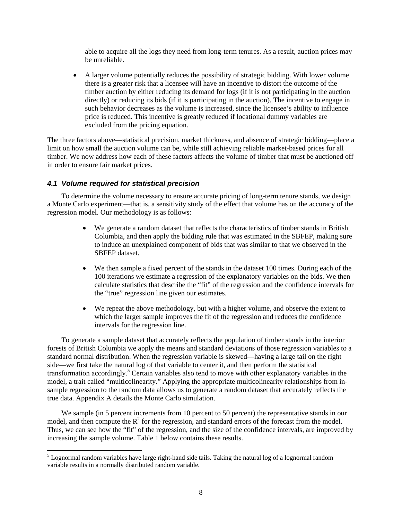able to acquire all the logs they need from long-term tenures. As a result, auction prices may be unreliable.

• A larger volume potentially reduces the possibility of strategic bidding. With lower volume there is a greater risk that a licensee will have an incentive to distort the outcome of the timber auction by either reducing its demand for logs (if it is not participating in the auction directly) or reducing its bids (if it is participating in the auction). The incentive to engage in such behavior decreases as the volume is increased, since the licensee's ability to influence price is reduced. This incentive is greatly reduced if locational dummy variables are excluded from the pricing equation.

The three factors above—statistical precision, market thickness, and absence of strategic bidding—place a limit on how small the auction volume can be, while still achieving reliable market-based prices for all timber. We now address how each of these factors affects the volume of timber that must be auctioned off in order to ensure fair market prices.

## *4.1 Volume required for statistical precision*

l

To determine the volume necessary to ensure accurate pricing of long-term tenure stands, we design a Monte Carlo experiment—that is, a sensitivity study of the effect that volume has on the accuracy of the regression model. Our methodology is as follows:

- We generate a random dataset that reflects the characteristics of timber stands in British Columbia, and then apply the bidding rule that was estimated in the SBFEP, making sure to induce an unexplained component of bids that was similar to that we observed in the SBFEP dataset.
- We then sample a fixed percent of the stands in the dataset 100 times. During each of the 100 iterations we estimate a regression of the explanatory variables on the bids. We then calculate statistics that describe the "fit" of the regression and the confidence intervals for the "true" regression line given our estimates.
- We repeat the above methodology, but with a higher volume, and observe the extent to which the larger sample improves the fit of the regression and reduces the confidence intervals for the regression line.

To generate a sample dataset that accurately reflects the population of timber stands in the interior forests of British Columbia we apply the means and standard deviations of those regression variables to a standard normal distribution. When the regression variable is skewed—having a large tail on the right side—we first take the natural log of that variable to center it, and then perform the statistical transformation accordingly.<sup>5</sup> Certain variables also tend to move with other explanatory variables in the model, a trait called "multicolinearity." Applying the appropriate multicolinearity relationships from insample regression to the random data allows us to generate a random dataset that accurately reflects the true data. Appendix A details the Monte Carlo simulation.

We sample (in 5 percent increments from 10 percent to 50 percent) the representative stands in our model, and then compute the  $R^2$  for the regression, and standard errors of the forecast from the model. Thus, we can see how the "fit" of the regression, and the size of the confidence intervals, are improved by increasing the sample volume. Table 1 below contains these results.

<sup>&</sup>lt;sup>5</sup> Lognormal random variables have large right-hand side tails. Taking the natural log of a lognormal random variable results in a normally distributed random variable.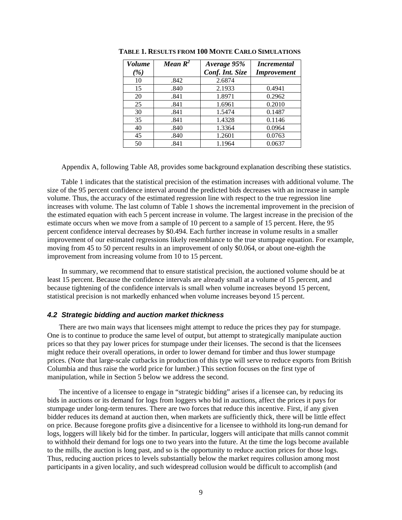| <b>Volume</b> | Mean $R^2$ | Average 95%     | <i>Incremental</i> |
|---------------|------------|-----------------|--------------------|
| ( %)          |            | Conf. Int. Size | <b>Improvement</b> |
| 10            | .842       | 2.6874          |                    |
| 15            | .840       | 2.1933          | 0.4941             |
| 20            | .841       | 1.8971          | 0.2962             |
| 25            | .841       | 1.6961          | 0.2010             |
| 30            | .841       | 1.5474          | 0.1487             |
| 35            | .841       | 1.4328          | 0.1146             |
| 40            | .840       | 1.3364          | 0.0964             |
| 45            | .840       | 1.2601          | 0.0763             |
| 50            | .841       | 1.1964          | 0.0637             |

**TABLE 1. RESULTS FROM 100 MONTE CARLO SIMULATIONS**

Appendix A, following Table A8, provides some background explanation describing these statistics.

Table 1 indicates that the statistical precision of the estimation increases with additional volume. The size of the 95 percent confidence interval around the predicted bids decreases with an increase in sample volume. Thus, the accuracy of the estimated regression line with respect to the true regression line increases with volume. The last column of Table 1 shows the incremental improvement in the precision of the estimated equation with each 5 percent increase in volume. The largest increase in the precision of the estimate occurs when we move from a sample of 10 percent to a sample of 15 percent. Here, the 95 percent confidence interval decreases by \$0.494. Each further increase in volume results in a smaller improvement of our estimated regressions likely resemblance to the true stumpage equation. For example, moving from 45 to 50 percent results in an improvement of only \$0.064, or about one-eighth the improvement from increasing volume from 10 to 15 percent.

In summary, we recommend that to ensure statistical precision, the auctioned volume should be at least 15 percent. Because the confidence intervals are already small at a volume of 15 percent, and because tightening of the confidence intervals is small when volume increases beyond 15 percent, statistical precision is not markedly enhanced when volume increases beyond 15 percent.

#### *4.2 Strategic bidding and auction market thickness*

There are two main ways that licensees might attempt to reduce the prices they pay for stumpage. One is to continue to produce the same level of output, but attempt to strategically manipulate auction prices so that they pay lower prices for stumpage under their licenses. The second is that the licensees might reduce their overall operations, in order to lower demand for timber and thus lower stumpage prices. (Note that large-scale cutbacks in production of this type will serve to reduce exports from British Columbia and thus raise the world price for lumber.) This section focuses on the first type of manipulation, while in Section 5 below we address the second.

The incentive of a licensee to engage in "strategic bidding" arises if a licensee can, by reducing its bids in auctions or its demand for logs from loggers who bid in auctions, affect the prices it pays for stumpage under long-term tenures. There are two forces that reduce this incentive. First, if any given bidder reduces its demand at auction then, when markets are sufficiently thick, there will be little effect on price. Because foregone profits give a disincentive for a licensee to withhold its long-run demand for logs, loggers will likely bid for the timber. In particular, loggers will anticipate that mills cannot commit to withhold their demand for logs one to two years into the future. At the time the logs become available to the mills, the auction is long past, and so is the opportunity to reduce auction prices for those logs. Thus, reducing auction prices to levels substantially below the market requires collusion among most participants in a given locality, and such widespread collusion would be difficult to accomplish (and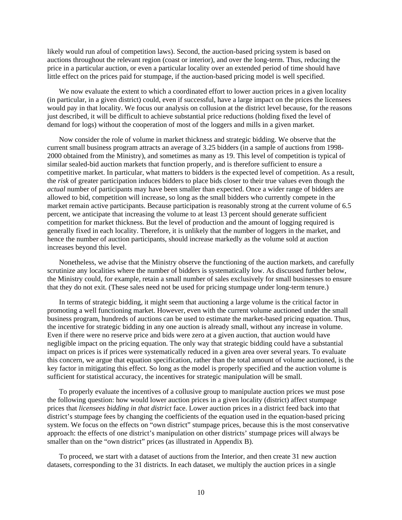likely would run afoul of competition laws). Second, the auction-based pricing system is based on auctions throughout the relevant region (coast or interior), and over the long-term. Thus, reducing the price in a particular auction, or even a particular locality over an extended period of time should have little effect on the prices paid for stumpage, if the auction-based pricing model is well specified.

We now evaluate the extent to which a coordinated effort to lower auction prices in a given locality (in particular, in a given district) could, even if successful, have a large impact on the prices the licensees would pay in that locality. We focus our analysis on collusion at the district level because, for the reasons just described, it will be difficult to achieve substantial price reductions (holding fixed the level of demand for logs) without the cooperation of most of the loggers and mills in a given market.

Now consider the role of volume in market thickness and strategic bidding. We observe that the current small business program attracts an average of 3.25 bidders (in a sample of auctions from 1998- 2000 obtained from the Ministry), and sometimes as many as 19. This level of competition is typical of similar sealed-bid auction markets that function properly, and is therefore sufficient to ensure a competitive market. In particular, what matters to bidders is the expected level of competition. As a result, the *risk* of greater participation induces bidders to place bids closer to their true values even though the *actual* number of participants may have been smaller than expected. Once a wider range of bidders are allowed to bid, competition will increase, so long as the small bidders who currently compete in the market remain active participants. Because participation is reasonably strong at the current volume of 6.5 percent, we anticipate that increasing the volume to at least 13 percent should generate sufficient competition for market thickness. But the level of production and the amount of logging required is generally fixed in each locality. Therefore, it is unlikely that the number of loggers in the market, and hence the number of auction participants, should increase markedly as the volume sold at auction increases beyond this level.

Nonetheless, we advise that the Ministry observe the functioning of the auction markets, and carefully scrutinize any localities where the number of bidders is systematically low. As discussed further below, the Ministry could, for example, retain a small number of sales exclusively for small businesses to ensure that they do not exit. (These sales need not be used for pricing stumpage under long-term tenure.)

In terms of strategic bidding, it might seem that auctioning a large volume is the critical factor in promoting a well functioning market. However, even with the current volume auctioned under the small business program, hundreds of auctions can be used to estimate the market-based pricing equation. Thus, the incentive for strategic bidding in any one auction is already small, without any increase in volume. Even if there were no reserve price and bids were zero at a given auction, that auction would have negligible impact on the pricing equation. The only way that strategic bidding could have a substantial impact on prices is if prices were systematically reduced in a given area over several years. To evaluate this concern, we argue that equation specification, rather than the total amount of volume auctioned, is the key factor in mitigating this effect. So long as the model is properly specified and the auction volume is sufficient for statistical accuracy, the incentives for strategic manipulation will be small.

To properly evaluate the incentives of a collusive group to manipulate auction prices we must pose the following question: how would lower auction prices in a given locality (district) affect stumpage prices that *licensees bidding in that district* face. Lower auction prices in a district feed back into that district's stumpage fees by changing the coefficients of the equation used in the equation-based pricing system. We focus on the effects on "own district" stumpage prices, because this is the most conservative approach: the effects of one district's manipulation on other districts' stumpage prices will always be smaller than on the "own district" prices (as illustrated in Appendix B).

To proceed, we start with a dataset of auctions from the Interior, and then create 31 new auction datasets, corresponding to the 31 districts. In each dataset, we multiply the auction prices in a single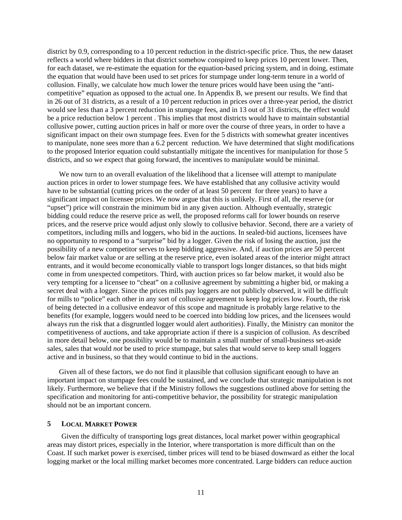district by 0.9, corresponding to a 10 percent reduction in the district-specific price. Thus, the new dataset reflects a world where bidders in that district somehow conspired to keep prices 10 percent lower. Then, for each dataset, we re-estimate the equation for the equation-based pricing system, and in doing, estimate the equation that would have been used to set prices for stumpage under long-term tenure in a world of collusion. Finally, we calculate how much lower the tenure prices would have been using the "anticompetitive" equation as opposed to the actual one. In Appendix B, we present our results. We find that in 26 out of 31 districts, as a result of a 10 percent reduction in prices over a three-year period, the district would see less than a 3 percent reduction in stumpage fees, and in 13 out of 31 districts, the effect would be a price reduction below 1 percent . This implies that most districts would have to maintain substantial collusive power, cutting auction prices in half or more over the course of three years, in order to have a significant impact on their own stumpage fees. Even for the 5 districts with somewhat greater incentives to manipulate, none sees more than a 6.2 percent reduction. We have determined that slight modifications to the proposed Interior equation could substantially mitigate the incentives for manipulation for those 5 districts, and so we expect that going forward, the incentives to manipulate would be minimal.

We now turn to an overall evaluation of the likelihood that a licensee will attempt to manipulate auction prices in order to lower stumpage fees. We have established that any collusive activity would have to be substantial (cutting prices on the order of at least 50 percent for three years) to have a significant impact on licensee prices. We now argue that this is unlikely. First of all, the reserve (or "upset") price will constrain the minimum bid in any given auction. Although eventually, strategic bidding could reduce the reserve price as well, the proposed reforms call for lower bounds on reserve prices, and the reserve price would adjust only slowly to collusive behavior. Second, there are a variety of competitors, including mills and loggers, who bid in the auctions. In sealed-bid auctions, licensees have no opportunity to respond to a "surprise" bid by a logger. Given the risk of losing the auction, just the possibility of a new competitor serves to keep bidding aggressive. And, if auction prices are 50 percent below fair market value or are selling at the reserve price, even isolated areas of the interior might attract entrants, and it would become economically viable to transport logs longer distances, so that bids might come in from unexpected competitors. Third, with auction prices so far below market, it would also be very tempting for a licensee to "cheat" on a collusive agreement by submitting a higher bid, or making a secret deal with a logger. Since the prices mills pay loggers are not publicly observed, it will be difficult for mills to "police" each other in any sort of collusive agreement to keep log prices low. Fourth, the risk of being detected in a collusive endeavor of this scope and magnitude is probably large relative to the benefits (for example, loggers would need to be coerced into bidding low prices, and the licensees would always run the risk that a disgruntled logger would alert authorities). Finally, the Ministry can monitor the competitiveness of auctions, and take appropriate action if there is a suspicion of collusion. As described in more detail below, one possibility would be to maintain a small number of small-business set-aside sales, sales that would *not* be used to price stumpage, but sales that would serve to keep small loggers active and in business, so that they would continue to bid in the auctions.

Given all of these factors, we do not find it plausible that collusion significant enough to have an important impact on stumpage fees could be sustained, and we conclude that strategic manipulation is not likely. Furthermore, we believe that if the Ministry follows the suggestions outlined above for setting the specification and monitoring for anti-competitive behavior, the possibility for strategic manipulation should not be an important concern.

## **5 LOCAL MARKET POWER**

Given the difficulty of transporting logs great distances, local market power within geographical areas may distort prices, especially in the Interior, where transportation is more difficult than on the Coast. If such market power is exercised, timber prices will tend to be biased downward as either the local logging market or the local milling market becomes more concentrated. Large bidders can reduce auction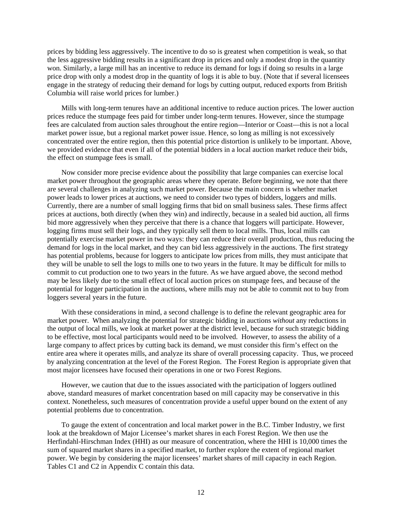prices by bidding less aggressively. The incentive to do so is greatest when competition is weak, so that the less aggressive bidding results in a significant drop in prices and only a modest drop in the quantity won. Similarly, a large mill has an incentive to reduce its demand for logs if doing so results in a large price drop with only a modest drop in the quantity of logs it is able to buy. (Note that if several licensees engage in the strategy of reducing their demand for logs by cutting output, reduced exports from British Columbia will raise world prices for lumber.)

Mills with long-term tenures have an additional incentive to reduce auction prices. The lower auction prices reduce the stumpage fees paid for timber under long-term tenures. However, since the stumpage fees are calculated from auction sales throughout the entire region—Interior or Coast—this is not a local market power issue, but a regional market power issue. Hence, so long as milling is not excessively concentrated over the entire region, then this potential price distortion is unlikely to be important. Above, we provided evidence that even if all of the potential bidders in a local auction market reduce their bids, the effect on stumpage fees is small.

Now consider more precise evidence about the possibility that large companies can exercise local market power throughout the geographic areas where they operate. Before beginning, we note that there are several challenges in analyzing such market power. Because the main concern is whether market power leads to lower prices at auctions, we need to consider two types of bidders, loggers and mills. Currently, there are a number of small logging firms that bid on small business sales. These firms affect prices at auctions, both directly (when they win) and indirectly, because in a sealed bid auction, all firms bid more aggressively when they perceive that there is a chance that loggers will participate. However, logging firms must sell their logs, and they typically sell them to local mills. Thus, local mills can potentially exercise market power in two ways: they can reduce their overall production, thus reducing the demand for logs in the local market, and they can bid less aggressively in the auctions. The first strategy has potential problems, because for loggers to anticipate low prices from mills, they must anticipate that they will be unable to sell the logs to mills one to two years in the future. It may be difficult for mills to commit to cut production one to two years in the future. As we have argued above, the second method may be less likely due to the small effect of local auction prices on stumpage fees, and because of the potential for logger participation in the auctions, where mills may not be able to commit not to buy from loggers several years in the future.

With these considerations in mind, a second challenge is to define the relevant geographic area for market power. When analyzing the potential for strategic bidding in auctions *without* any reductions in the output of local mills, we look at market power at the district level, because for such strategic bidding to be effective, most local participants would need to be involved. However, to assess the ability of a large company to affect prices by cutting back its demand, we must consider this firm's effect on the entire area where it operates mills, and analyze its share of overall processing capacity. Thus, we proceed by analyzing concentration at the level of the Forest Region. The Forest Region is appropriate given that most major licensees have focused their operations in one or two Forest Regions.

However, we caution that due to the issues associated with the participation of loggers outlined above, standard measures of market concentration based on mill capacity may be conservative in this context. Nonetheless, such measures of concentration provide a useful upper bound on the extent of any potential problems due to concentration.

To gauge the extent of concentration and local market power in the B.C. Timber Industry, we first look at the breakdown of Major Licensee's market shares in each Forest Region. We then use the Herfindahl-Hirschman Index (HHI) as our measure of concentration, where the HHI is 10,000 times the sum of squared market shares in a specified market, to further explore the extent of regional market power. We begin by considering the major licensees' market shares of mill capacity in each Region. Tables C1 and C2 in Appendix C contain this data.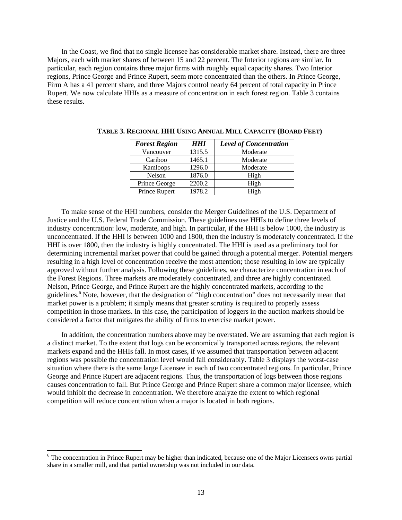In the Coast, we find that no single licensee has considerable market share. Instead, there are three Majors, each with market shares of between 15 and 22 percent. The Interior regions are similar. In particular, each region contains three major firms with roughly equal capacity shares. Two Interior regions, Prince George and Prince Rupert, seem more concentrated than the others. In Prince George, Firm A has a 41 percent share, and three Majors control nearly 64 percent of total capacity in Prince Rupert. We now calculate HHIs as a measure of concentration in each forest region. Table 3 contains these results.

| <b>Forest Region</b> | <b>HHI</b> | <b>Level of Concentration</b> |
|----------------------|------------|-------------------------------|
| Vancouver            | 1315.5     | Moderate                      |
| Cariboo              | 1465.1     | Moderate                      |
| Kamloops             | 1296.0     | Moderate                      |
| Nelson               | 1876.0     | High                          |
| Prince George        | 2200.2     | High                          |
| Prince Rupert        | 1978.2     | High                          |

**TABLE 3. REGIONAL HHI USING ANNUAL MILL CAPACITY (BOARD FEET)** 

To make sense of the HHI numbers, consider the Merger Guidelines of the U.S. Department of Justice and the U.S. Federal Trade Commission. These guidelines use HHIs to define three levels of industry concentration: low, moderate, and high. In particular, if the HHI is below 1000, the industry is unconcentrated. If the HHI is between 1000 and 1800, then the industry is moderately concentrated. If the HHI is over 1800, then the industry is highly concentrated. The HHI is used as a preliminary tool for determining incremental market power that could be gained through a potential merger. Potential mergers resulting in a high level of concentration receive the most attention; those resulting in low are typically approved without further analysis. Following these guidelines, we characterize concentration in each of the Forest Regions. Three markets are moderately concentrated, and three are highly concentrated. Nelson, Prince George, and Prince Rupert are the highly concentrated markets, according to the guidelines.<sup>6</sup> Note, however, that the designation of "high concentration" does not necessarily mean that market power is a problem; it simply means that greater scrutiny is required to properly assess competition in those markets. In this case, the participation of loggers in the auction markets should be considered a factor that mitigates the ability of firms to exercise market power.

In addition, the concentration numbers above may be overstated. We are assuming that each region is a distinct market. To the extent that logs can be economically transported across regions, the relevant markets expand and the HHIs fall. In most cases, if we assumed that transportation between adjacent regions was possible the concentration level would fall considerably. Table 3 displays the worst-case situation where there is the same large Licensee in each of two concentrated regions. In particular, Prince George and Prince Rupert are adjacent regions. Thus, the transportation of logs between those regions causes concentration to fall. But Prince George and Prince Rupert share a common major licensee, which would inhibit the decrease in concentration. We therefore analyze the extent to which regional competition will reduce concentration when a major is located in both regions.

l

<sup>&</sup>lt;sup>6</sup> The concentration in Prince Rupert may be higher than indicated, because one of the Major Licensees owns partial share in a smaller mill, and that partial ownership was not included in our data.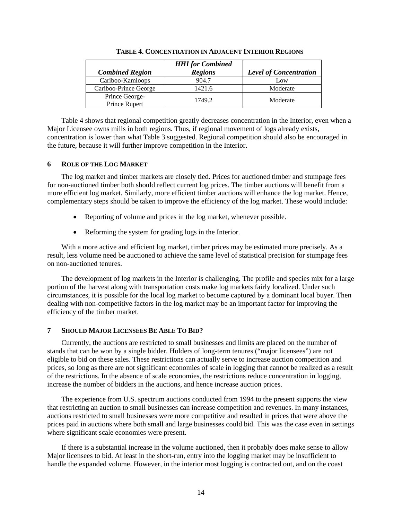|                                 | <b>HHI</b> for Combined |                               |
|---------------------------------|-------------------------|-------------------------------|
| <b>Combined Region</b>          | <b>Regions</b>          | <b>Level of Concentration</b> |
| Cariboo-Kamloops                | 904.7                   | Low                           |
| Cariboo-Prince George           | 1421.6                  | Moderate                      |
| Prince George-<br>Prince Rupert | 1749.2                  | Moderate                      |

**TABLE 4. CONCENTRATION IN ADJACENT INTERIOR REGIONS**

Table 4 shows that regional competition greatly decreases concentration in the Interior, even when a Major Licensee owns mills in both regions. Thus, if regional movement of logs already exists, concentration is lower than what Table 3 suggested. Regional competition should also be encouraged in the future, because it will further improve competition in the Interior.

## **6 ROLE OF THE LOG MARKET**

The log market and timber markets are closely tied. Prices for auctioned timber and stumpage fees for non-auctioned timber both should reflect current log prices. The timber auctions will benefit from a more efficient log market. Similarly, more efficient timber auctions will enhance the log market. Hence, complementary steps should be taken to improve the efficiency of the log market. These would include:

- Reporting of volume and prices in the log market, whenever possible.
- Reforming the system for grading logs in the Interior.

With a more active and efficient log market, timber prices may be estimated more precisely. As a result, less volume need be auctioned to achieve the same level of statistical precision for stumpage fees on non-auctioned tenures.

The development of log markets in the Interior is challenging. The profile and species mix for a large portion of the harvest along with transportation costs make log markets fairly localized. Under such circumstances, it is possible for the local log market to become captured by a dominant local buyer. Then dealing with non-competitive factors in the log market may be an important factor for improving the efficiency of the timber market.

#### **7 SHOULD MAJOR LICENSEES BE ABLE TO BID?**

Currently, the auctions are restricted to small businesses and limits are placed on the number of stands that can be won by a single bidder. Holders of long-term tenures ("major licensees") are not eligible to bid on these sales. These restrictions can actually serve to increase auction competition and prices, so long as there are not significant economies of scale in logging that cannot be realized as a result of the restrictions. In the absence of scale economies, the restrictions reduce concentration in logging, increase the number of bidders in the auctions, and hence increase auction prices.

The experience from U.S. spectrum auctions conducted from 1994 to the present supports the view that restricting an auction to small businesses can increase competition and revenues. In many instances, auctions restricted to small businesses were more competitive and resulted in prices that were above the prices paid in auctions where both small and large businesses could bid. This was the case even in settings where significant scale economies were present.

If there is a substantial increase in the volume auctioned, then it probably does make sense to allow Major licensees to bid. At least in the short-run, entry into the logging market may be insufficient to handle the expanded volume. However, in the interior most logging is contracted out, and on the coast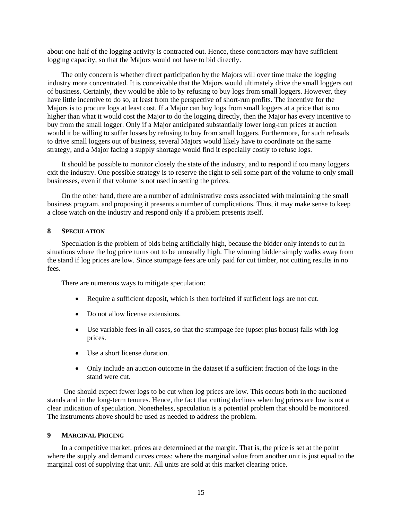about one-half of the logging activity is contracted out. Hence, these contractors may have sufficient logging capacity, so that the Majors would not have to bid directly.

The only concern is whether direct participation by the Majors will over time make the logging industry more concentrated. It is conceivable that the Majors would ultimately drive the small loggers out of business. Certainly, they would be able to by refusing to buy logs from small loggers. However, they have little incentive to do so, at least from the perspective of short-run profits. The incentive for the Majors is to procure logs at least cost. If a Major can buy logs from small loggers at a price that is no higher than what it would cost the Major to do the logging directly, then the Major has every incentive to buy from the small logger. Only if a Major anticipated substantially lower long-run prices at auction would it be willing to suffer losses by refusing to buy from small loggers. Furthermore, for such refusals to drive small loggers out of business, several Majors would likely have to coordinate on the same strategy, and a Major facing a supply shortage would find it especially costly to refuse logs.

It should be possible to monitor closely the state of the industry, and to respond if too many loggers exit the industry. One possible strategy is to reserve the right to sell some part of the volume to only small businesses, even if that volume is not used in setting the prices.

On the other hand, there are a number of administrative costs associated with maintaining the small business program, and proposing it presents a number of complications. Thus, it may make sense to keep a close watch on the industry and respond only if a problem presents itself.

### **8 SPECULATION**

Speculation is the problem of bids being artificially high, because the bidder only intends to cut in situations where the log price turns out to be unusually high. The winning bidder simply walks away from the stand if log prices are low. Since stumpage fees are only paid for cut timber, not cutting results in no fees.

There are numerous ways to mitigate speculation:

- Require a sufficient deposit, which is then forfeited if sufficient logs are not cut.
- Do not allow license extensions.
- Use variable fees in all cases, so that the stumpage fee (upset plus bonus) falls with log prices.
- Use a short license duration.
- Only include an auction outcome in the dataset if a sufficient fraction of the logs in the stand were cut.

One should expect fewer logs to be cut when log prices are low. This occurs both in the auctioned stands and in the long-term tenures. Hence, the fact that cutting declines when log prices are low is not a clear indication of speculation. Nonetheless, speculation is a potential problem that should be monitored. The instruments above should be used as needed to address the problem.

## **9 MARGINAL PRICING**

In a competitive market, prices are determined at the margin. That is, the price is set at the point where the supply and demand curves cross: where the marginal value from another unit is just equal to the marginal cost of supplying that unit. All units are sold at this market clearing price.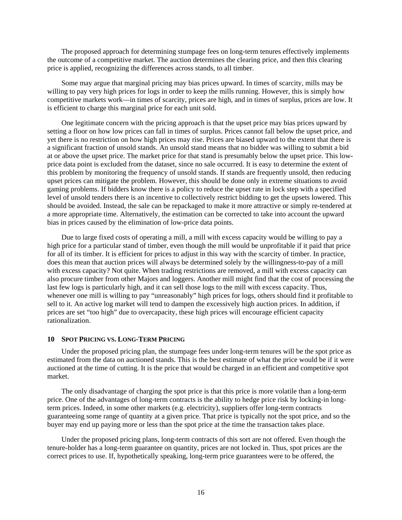The proposed approach for determining stumpage fees on long-term tenures effectively implements the outcome of a competitive market. The auction determines the clearing price, and then this clearing price is applied, recognizing the differences across stands, to all timber.

Some may argue that marginal pricing may bias prices upward. In times of scarcity, mills may be willing to pay very high prices for logs in order to keep the mills running. However, this is simply how competitive markets work—in times of scarcity, prices are high, and in times of surplus, prices are low. It is efficient to charge this marginal price for each unit sold.

One legitimate concern with the pricing approach is that the upset price may bias prices upward by setting a floor on how low prices can fall in times of surplus. Prices cannot fall below the upset price, and yet there is no restriction on how high prices may rise. Prices are biased upward to the extent that there is a significant fraction of unsold stands. An unsold stand means that no bidder was willing to submit a bid at or above the upset price. The market price for that stand is presumably below the upset price. This lowprice data point is excluded from the dataset, since no sale occurred. It is easy to determine the extent of this problem by monitoring the frequency of unsold stands. If stands are frequently unsold, then reducing upset prices can mitigate the problem. However, this should be done only in extreme situations to avoid gaming problems. If bidders know there is a policy to reduce the upset rate in lock step with a specified level of unsold tenders there is an incentive to collectively restrict bidding to get the upsets lowered. This should be avoided. Instead, the sale can be repackaged to make it more attractive or simply re-tendered at a more appropriate time. Alternatively, the estimation can be corrected to take into account the upward bias in prices caused by the elimination of low-price data points.

Due to large fixed costs of operating a mill, a mill with excess capacity would be willing to pay a high price for a particular stand of timber, even though the mill would be unprofitable if it paid that price for all of its timber. It is efficient for prices to adjust in this way with the scarcity of timber. In practice, does this mean that auction prices will always be determined solely by the willingness-to-pay of a mill with excess capacity? Not quite. When trading restrictions are removed, a mill with excess capacity can also procure timber from other Majors and loggers. Another mill might find that the cost of processing the last few logs is particularly high, and it can sell those logs to the mill with excess capacity. Thus, whenever one mill is willing to pay "unreasonably" high prices for logs, others should find it profitable to sell to it. An active log market will tend to dampen the excessively high auction prices. In addition, if prices are set "too high" due to overcapacity, these high prices will encourage efficient capacity rationalization.

#### **10 SPOT PRICING VS. LONG-TERM PRICING**

Under the proposed pricing plan, the stumpage fees under long-term tenures will be the spot price as estimated from the data on auctioned stands. This is the best estimate of what the price would be if it were auctioned at the time of cutting. It is the price that would be charged in an efficient and competitive spot market.

The only disadvantage of charging the spot price is that this price is more volatile than a long-term price. One of the advantages of long-term contracts is the ability to hedge price risk by locking-in longterm prices. Indeed, in some other markets (e.g. electricity), suppliers offer long-term contracts guaranteeing some range of quantity at a given price. That price is typically not the spot price, and so the buyer may end up paying more or less than the spot price at the time the transaction takes place.

Under the proposed pricing plans, long-term contracts of this sort are not offered. Even though the tenure-holder has a long-term guarantee on quantity, prices are not locked in. Thus, spot prices are the correct prices to use. If, hypothetically speaking, long-term price guarantees were to be offered, the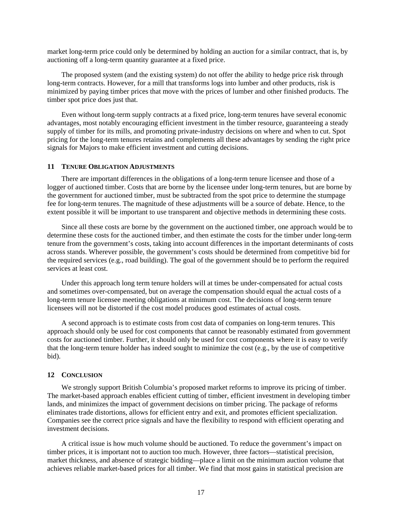market long-term price could only be determined by holding an auction for a similar contract, that is, by auctioning off a long-term quantity guarantee at a fixed price.

The proposed system (and the existing system) do not offer the ability to hedge price risk through long-term contracts. However, for a mill that transforms logs into lumber and other products, risk is minimized by paying timber prices that move with the prices of lumber and other finished products. The timber spot price does just that.

Even without long-term supply contracts at a fixed price, long-term tenures have several economic advantages, most notably encouraging efficient investment in the timber resource, guaranteeing a steady supply of timber for its mills, and promoting private-industry decisions on where and when to cut. Spot pricing for the long-term tenures retains and complements all these advantages by sending the right price signals for Majors to make efficient investment and cutting decisions.

#### **11 TENURE OBLIGATION ADJUSTMENTS**

There are important differences in the obligations of a long-term tenure licensee and those of a logger of auctioned timber. Costs that are borne by the licensee under long-term tenures, but are borne by the government for auctioned timber, must be subtracted from the spot price to determine the stumpage fee for long-term tenures. The magnitude of these adjustments will be a source of debate. Hence, to the extent possible it will be important to use transparent and objective methods in determining these costs.

Since all these costs are borne by the government on the auctioned timber, one approach would be to determine these costs for the auctioned timber, and then estimate the costs for the timber under long-term tenure from the government's costs, taking into account differences in the important determinants of costs across stands. Wherever possible, the government's costs should be determined from competitive bid for the required services (e.g., road building). The goal of the government should be to perform the required services at least cost.

Under this approach long term tenure holders will at times be under-compensated for actual costs and sometimes over-compensated, but on average the compensation should equal the actual costs of a long-term tenure licensee meeting obligations at minimum cost. The decisions of long-term tenure licensees will not be distorted if the cost model produces good estimates of actual costs.

A second approach is to estimate costs from cost data of companies on long-term tenures. This approach should only be used for cost components that cannot be reasonably estimated from government costs for auctioned timber. Further, it should only be used for cost components where it is easy to verify that the long-term tenure holder has indeed sought to minimize the cost (e.g., by the use of competitive bid).

## **12 CONCLUSION**

We strongly support British Columbia's proposed market reforms to improve its pricing of timber. The market-based approach enables efficient cutting of timber, efficient investment in developing timber lands, and minimizes the impact of government decisions on timber pricing. The package of reforms eliminates trade distortions, allows for efficient entry and exit, and promotes efficient specialization. Companies see the correct price signals and have the flexibility to respond with efficient operating and investment decisions.

A critical issue is how much volume should be auctioned. To reduce the government's impact on timber prices, it is important not to auction too much. However, three factors—statistical precision, market thickness, and absence of strategic bidding—place a limit on the minimum auction volume that achieves reliable market-based prices for all timber. We find that most gains in statistical precision are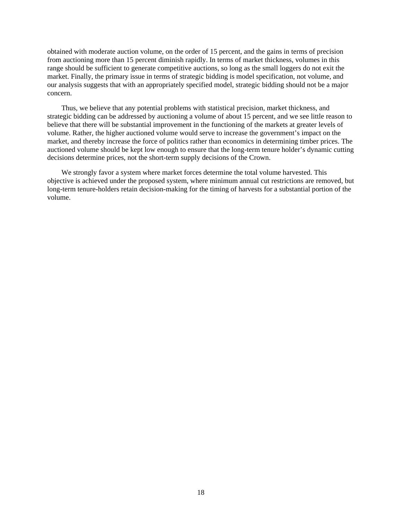obtained with moderate auction volume, on the order of 15 percent, and the gains in terms of precision from auctioning more than 15 percent diminish rapidly. In terms of market thickness, volumes in this range should be sufficient to generate competitive auctions, so long as the small loggers do not exit the market. Finally, the primary issue in terms of strategic bidding is model specification, not volume, and our analysis suggests that with an appropriately specified model, strategic bidding should not be a major concern.

Thus, we believe that any potential problems with statistical precision, market thickness, and strategic bidding can be addressed by auctioning a volume of about 15 percent, and we see little reason to believe that there will be substantial improvement in the functioning of the markets at greater levels of volume. Rather, the higher auctioned volume would serve to increase the government's impact on the market, and thereby increase the force of politics rather than economics in determining timber prices. The auctioned volume should be kept low enough to ensure that the long-term tenure holder's dynamic cutting decisions determine prices, not the short-term supply decisions of the Crown.

We strongly favor a system where market forces determine the total volume harvested. This objective is achieved under the proposed system, where minimum annual cut restrictions are removed, but long-term tenure-holders retain decision-making for the timing of harvests for a substantial portion of the volume.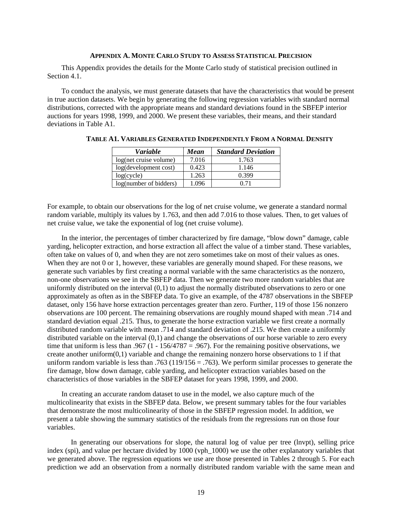#### **APPENDIX A. MONTE CARLO STUDY TO ASSESS STATISTICAL PRECISION**

This Appendix provides the details for the Monte Carlo study of statistical precision outlined in Section 4.1.

To conduct the analysis, we must generate datasets that have the characteristics that would be present in true auction datasets. We begin by generating the following regression variables with standard normal distributions, corrected with the appropriate means and standard deviations found in the SBFEP interior auctions for years 1998, 1999, and 2000. We present these variables, their means, and their standard deviations in Table A1.

| <b>Variable</b>        | Mean  | <b>Standard Deviation</b> |
|------------------------|-------|---------------------------|
| log(net cruise volume) | 7.016 | 1.763                     |
| log(development cost)  | 0.423 | 1.146                     |
| log(cycle)             | 1.263 | 0.399                     |
| log(number of bidders) | 1.096 | O 71                      |

**TABLE A1. VARIABLES GENERATED INDEPENDENTLY FROM A NORMAL DENSITY**

For example, to obtain our observations for the log of net cruise volume, we generate a standard normal random variable, multiply its values by 1.763, and then add 7.016 to those values. Then, to get values of net cruise value, we take the exponential of log (net cruise volume).

In the interior, the percentages of timber characterized by fire damage, "blow down" damage, cable yarding, helicopter extraction, and horse extraction all affect the value of a timber stand. These variables, often take on values of 0, and when they are not zero sometimes take on most of their values as ones. When they are not 0 or 1, however, these variables are generally mound shaped. For these reasons, we generate such variables by first creating a normal variable with the same characteristics as the nonzero, non-one observations we see in the SBFEP data. Then we generate two more random variables that are uniformly distributed on the interval (0,1) to adjust the normally distributed observations to zero or one approximately as often as in the SBFEP data. To give an example, of the 4787 observations in the SBFEP dataset, only 156 have horse extraction percentages greater than zero. Further, 119 of those 156 nonzero observations are 100 percent. The remaining observations are roughly mound shaped with mean .714 and standard deviation equal .215. Thus, to generate the horse extraction variable we first create a normally distributed random variable with mean .714 and standard deviation of .215. We then create a uniformly distributed variable on the interval (0,1) and change the observations of our horse variable to zero every time that uniform is less than .967 (1 - 156/4787 = .967). For the remaining positive observations, we create another uniform $(0,1)$  variable and change the remaining nonzero horse observations to 1 if that uniform random variable is less than .763 (119/156 = .763). We perform similar processes to generate the fire damage, blow down damage, cable yarding, and helicopter extraction variables based on the characteristics of those variables in the SBFEP dataset for years 1998, 1999, and 2000.

In creating an accurate random dataset to use in the model, we also capture much of the multicolinearity that exists in the SBFEP data. Below, we present summary tables for the four variables that demonstrate the most multicolinearity of those in the SBFEP regression model. In addition, we present a table showing the summary statistics of the residuals from the regressions run on those four variables.

In generating our observations for slope, the natural log of value per tree (lnvpt), selling price index (spi), and value per hectare divided by 1000 (vph\_1000) we use the other explanatory variables that we generated above. The regression equations we use are those presented in Tables 2 through 5. For each prediction we add an observation from a normally distributed random variable with the same mean and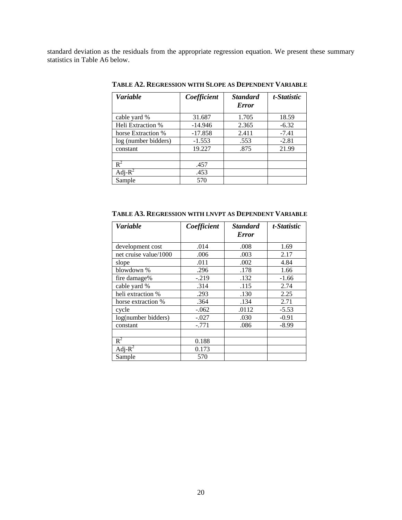standard deviation as the residuals from the appropriate regression equation. We present these summary statistics in Table A6 below.

| <i>Variable</i>      | Coefficient | <b>Standard</b> | t-Statistic |
|----------------------|-------------|-----------------|-------------|
|                      |             | <b>Error</b>    |             |
| cable yard %         | 31.687      | 1.705           | 18.59       |
| Heli Extraction %    | $-14.946$   | 2.365           | $-6.32$     |
| horse Extraction %   | $-17.858$   | 2.411           | $-7.41$     |
| log (number bidders) | $-1.553$    | .553            | $-2.81$     |
| constant             | 19.227      | .875            | 21.99       |
|                      |             |                 |             |
| $R^2$                | .457        |                 |             |
| Adj- $R^2$           | .453        |                 |             |
| Sample               | 570         |                 |             |

**TABLE A2. REGRESSION WITH SLOPE AS DEPENDENT VARIABLE**

*Variable Coefficient Standard Error t-Statistic*  development cost ... .014 ... .008 ... 1.69<br>
net cruise value/1000 ... .006 ... .003 ... .017 net cruise value/1000 .006 .003 slope .011 .002 | 4.84 blowdown % .296 .178 .1.66 fire damage% -.219 .132 -1.66<br>cable yard % .314 .115 2.74 cable yard % .314 .115 heli extraction % .293 .130 .130 .2.25<br>horse extraction % .364 .134 2.71 horse extraction % .364 .134<br>cycle .062 .0112 cycle  $-0.062$  .0112  $-5.53$ log(number bidders) -.027 .030 -0.91<br>
constant -.771 .086 -8.99 constant  $-0.771$  .086  $R^2$  0.188 Adj- $R^2$ 0.173

Sample 570

**TABLE A3. REGRESSION WITH LNVPT AS DEPENDENT VARIABLE**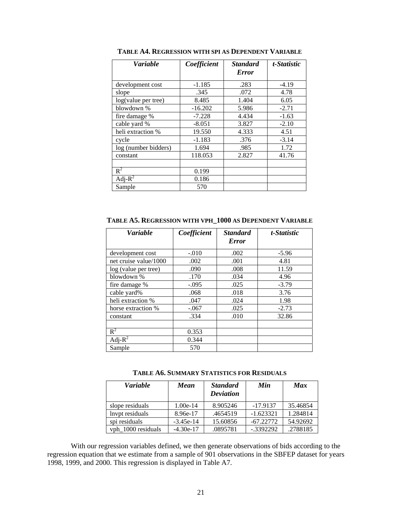| <b>Variable</b>      | Coefficient | <b>Standard</b><br><b>Error</b> | t-Statistic |
|----------------------|-------------|---------------------------------|-------------|
| development cost     | $-1.185$    | .283                            | $-4.19$     |
| slope                | .345        | .072                            | 4.78        |
| log(value per tree)  | 8.485       | 1.404                           | 6.05        |
| blowdown %           | $-16.202$   | 5.986                           | $-2.71$     |
| fire damage %        | $-7.228$    | 4.434                           | $-1.63$     |
| cable yard %         | $-8.051$    | 3.827                           | $-2.10$     |
| heli extraction %    | 19.550      | 4.333                           | 4.51        |
| cycle                | $-1.183$    | .376                            | $-3.14$     |
| log (number bidders) | 1.694       | .985                            | 1.72        |
| constant             | 118.053     | 2.827                           | 41.76       |
|                      |             |                                 |             |
| $R^2$                | 0.199       |                                 |             |
| Adj- $R^2$           | 0.186       |                                 |             |
| Sample               | 570         |                                 |             |

**TABLE A4. REGRESSION WITH SPI AS DEPENDENT VARIABLE**

**TABLE A5. REGRESSION WITH VPH\_1000 AS DEPENDENT VARIABLE**

| <b>Variable</b>       | Coefficient | <b>Standard</b> | t-Statistic |
|-----------------------|-------------|-----------------|-------------|
|                       |             | <b>Error</b>    |             |
| development cost      | $-.010$     | .002            | $-5.96$     |
| net cruise value/1000 | .002        | .001            | 4.81        |
| log (value per tree)  | .090        | .008            | 11.59       |
| blowdown %            | .170        | .034            | 4.96        |
| fire damage %         | $-.095$     | .025            | $-3.79$     |
| cable yard%           | .068        | .018            | 3.76        |
| heli extraction %     | .047        | .024            | 1.98        |
| horse extraction %    | $-.067$     | .025            | $-2.73$     |
| constant              | .334        | .010            | 32.86       |
|                       |             |                 |             |
| $R^2$                 | 0.353       |                 |             |
| Adj- $R^2$            | 0.344       |                 |             |
| Sample                | 570         |                 |             |

**TABLE A6. SUMMARY STATISTICS FOR RESIDUALS**

| <b>Variable</b>    | Mean        | <b>Standard</b><br><b>Deviation</b> | Min         | <b>Max</b> |
|--------------------|-------------|-------------------------------------|-------------|------------|
| slope residuals    | $1.00e-14$  | 8.905246                            | $-17.9137$  | 35.46854   |
| lnypt residuals    | 8.96e-17    | .4654519                            | $-1.623321$ | 1.284814   |
| spi residuals      | $-3.45e-14$ | 15.60856                            | $-67.22772$ | 54.92692   |
| vph 1000 residuals | $-4.30e-17$ | .0895781                            | $-.3392292$ | .2788185   |

With our regression variables defined, we then generate observations of bids according to the regression equation that we estimate from a sample of 901 observations in the SBFEP dataset for years 1998, 1999, and 2000. This regression is displayed in Table A7.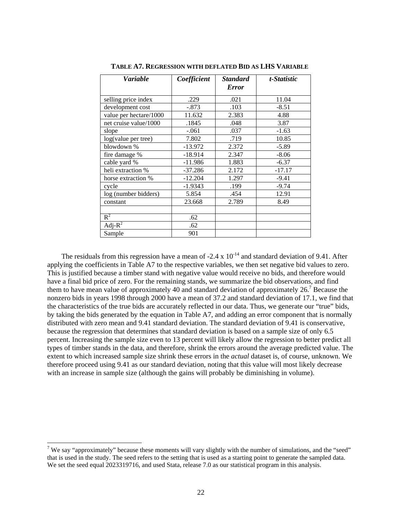| <b>Variable</b>        | Coefficient | <b>Standard</b><br><b>Error</b> | t-Statistic |
|------------------------|-------------|---------------------------------|-------------|
|                        |             |                                 |             |
| selling price index    | .229        | .021                            | 11.04       |
| development cost       | $-.873$     | .103                            | $-8.51$     |
| value per hectare/1000 | 11.632      | 2.383                           | 4.88        |
| net cruise value/1000  | .1845       | .048                            | 3.87        |
| slope                  | $-.061$     | .037                            | $-1.63$     |
| log(value per tree)    | 7.802       | .719                            | 10.85       |
| blowdown %             | $-13.972$   | 2.372                           | $-5.89$     |
| fire damage %          | $-18.914$   | 2.347                           | $-8.06$     |
| cable yard %           | $-11.986$   | 1.883                           | $-6.37$     |
| heli extraction %      | $-37.286$   | 2.172                           | $-17.17$    |
| horse extraction %     | $-12.204$   | 1.297                           | $-9.41$     |
| cycle                  | $-1.9343$   | .199                            | $-9.74$     |
| log (number bidders)   | 5.854       | .454                            | 12.91       |
| constant               | 23.668      | 2.789                           | 8.49        |
|                        |             |                                 |             |
| $R^2$                  | .62         |                                 |             |
| Adj- $R^2$             | .62         |                                 |             |
| Sample                 | 901         |                                 |             |

**TABLE A7. REGRESSION WITH DEFLATED BID AS LHS VARIABLE**

The residuals from this regression have a mean of -2.4 x  $10^{-14}$  and standard deviation of 9.41. After applying the coefficients in Table A7 to the respective variables, we then set negative bid values to zero. This is justified because a timber stand with negative value would receive no bids, and therefore would have a final bid price of zero. For the remaining stands, we summarize the bid observations, and find them to have mean value of approximately 40 and standard deviation of approximately  $26$ .<sup>7</sup> Because the nonzero bids in years 1998 through 2000 have a mean of 37.2 and standard deviation of 17.1, we find that the characteristics of the true bids are accurately reflected in our data. Thus, we generate our "true" bids, by taking the bids generated by the equation in Table A7, and adding an error component that is normally distributed with zero mean and 9.41 standard deviation. The standard deviation of 9.41 is conservative, because the regression that determines that standard deviation is based on a sample size of only 6.5 percent. Increasing the sample size even to 13 percent will likely allow the regression to better predict all types of timber stands in the data, and therefore, shrink the errors around the average predicted value. The extent to which increased sample size shrink these errors in the *actual* dataset is, of course, unknown. We therefore proceed using 9.41 as our standard deviation, noting that this value will most likely decrease with an increase in sample size (although the gains will probably be diminishing in volume).

 $\frac{1}{7}$  We say "approximately" because these moments will vary slightly with the number of simulations, and the "seed" that is used in the study. The seed refers to the setting that is used as a starting point to generate the sampled data. We set the seed equal 2023319716, and used Stata, release 7.0 as our statistical program in this analysis.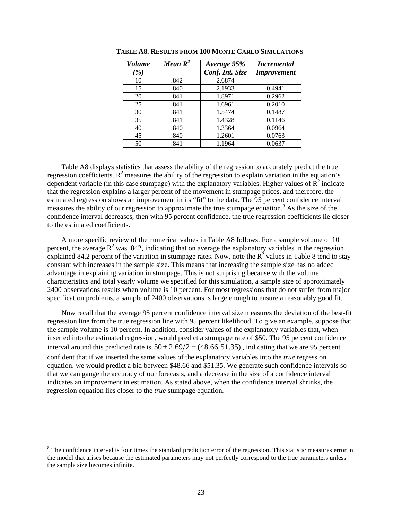| <b>Volume</b> | Mean $R^2$ | Average 95%     | <i>Incremental</i> |
|---------------|------------|-----------------|--------------------|
| (%)           |            | Conf. Int. Size | <b>Improvement</b> |
| 10            | .842       | 2.6874          |                    |
| 15            | .840       | 2.1933          | 0.4941             |
| 20            | .841       | 1.8971          | 0.2962             |
| 25            | .841       | 1.6961          | 0.2010             |
| 30            | .841       | 1.5474          | 0.1487             |
| 35            | .841       | 1.4328          | 0.1146             |
| 40            | .840       | 1.3364          | 0.0964             |
| 45            | .840       | 1.2601          | 0.0763             |
| 50            | .841       | 1.1964          | 0.0637             |

**TABLE A8. RESULTS FROM 100 MONTE CARLO SIMULATIONS**

Table A8 displays statistics that assess the ability of the regression to accurately predict the true regression coefficients.  $R^2$  measures the ability of the regression to explain variation in the equation's dependent variable (in this case stumpage) with the explanatory variables. Higher values of  $\overline{R}^2$  indicate that the regression explains a larger percent of the movement in stumpage prices, and therefore, the estimated regression shows an improvement in its "fit" to the data. The 95 percent confidence interval measures the ability of our regression to approximate the true stumpage equation.<sup>8</sup> As the size of the confidence interval decreases, then with 95 percent confidence, the true regression coefficients lie closer to the estimated coefficients.

A more specific review of the numerical values in Table A8 follows. For a sample volume of 10 percent, the average  $R^2$  was .842, indicating that on average the explanatory variables in the regression explained 84.2 percent of the variation in stumpage rates. Now, note the  $R^2$  values in Table 8 tend to stay constant with increases in the sample size. This means that increasing the sample size has no added advantage in explaining variation in stumpage. This is not surprising because with the volume characteristics and total yearly volume we specified for this simulation, a sample size of approximately 2400 observations results when volume is 10 percent. For most regressions that do not suffer from major specification problems, a sample of 2400 observations is large enough to ensure a reasonably good fit.

Now recall that the average 95 percent confidence interval size measures the deviation of the best-fit regression line from the true regression line with 95 percent likelihood. To give an example, suppose that the sample volume is 10 percent. In addition, consider values of the explanatory variables that, when inserted into the estimated regression, would predict a stumpage rate of \$50. The 95 percent confidence interval around this predicted rate is  $50 \pm 2.69/2 = (48.66, 51.35)$ , indicating that we are 95 percent confident that if we inserted the same values of the explanatory variables into the *true* regression equation, we would predict a bid between \$48.66 and \$51.35. We generate such confidence intervals so that we can gauge the accuracy of our forecasts, and a decrease in the size of a confidence interval indicates an improvement in estimation. As stated above, when the confidence interval shrinks, the regression equation lies closer to the *true* stumpage equation.

l

 $8$  The confidence interval is four times the standard prediction error of the regression. This statistic measures error in the model that arises because the estimated parameters may not perfectly correspond to the true parameters unless the sample size becomes infinite.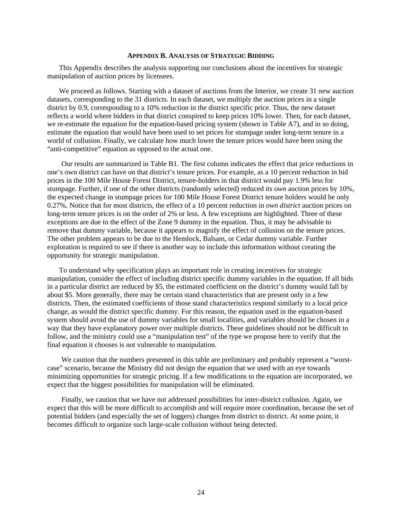#### **APPENDIX B. ANALYSIS OF STRATEGIC BIDDING**

This Appendix describes the analysis supporting our conclusions about the incentives for strategic manipulation of auction prices by licensees.

We proceed as follows. Starting with a dataset of auctions from the Interior, we create 31 new auction datasets, corresponding to the 31 districts. In each dataset, we multiply the auction prices in a single district by 0.9, corresponding to a 10% reduction in the district specific price. Thus, the new dataset reflects a world where bidders in that district conspired to keep prices 10% lower. Then, for each dataset, we re-estimate the equation for the equation-based pricing system (shown in Table A7), and in so doing, estimate the equation that would have been used to set prices for stumpage under long-term tenure in a world of collusion. Finally, we calculate how much lower the tenure prices would have been using the "anti-competitive" equation as opposed to the actual one.

Our results are summarized in Table B1. The first column indicates the effect that price reductions in one's own district can have on that district's tenure prices. For example, as a 10 percent reduction in bid prices in the 100 Mile House Forest District, tenure-holders in that district would pay 1.9% less for stumpage. Further, if one of the other districts (randomly selected) reduced *its own* auction prices by 10%, the expected change in stumpage prices for 100 Mile House Forest District tenure holders would be only 0.27%. Notice that for most districts, the effect of a 10 percent reduction in *own district* auction prices on long-term tenure prices is on the order of 2% or less. A few exceptions are highlighted. Three of these exceptions are due to the effect of the Zone 9 dummy in the equation. Thus, it may be advisable to remove that dummy variable, because it appears to magnify the effect of collusion on the tenure prices. The other problem appears to be due to the Hemlock, Balsam, or Cedar dummy variable. Further exploration is required to see if there is another way to include this information without creating the opportunity for strategic manipulation.

To understand why specification plays an important role in creating incentives for strategic manipulation, consider the effect of including district specific dummy variables in the equation. If all bids in a particular district are reduced by \$5, the estimated coefficient on the district's dummy would fall by about \$5. More generally, there may be certain stand characteristics that are present only in a few districts. Then, the estimated coefficients of those stand characteristics respond similarly to a local price change, as would the district specific dummy. For this reason, the equation used in the equation-based system should avoid the use of dummy variables for small localities, and variables should be chosen in a way that they have explanatory power over multiple districts. These guidelines should not be difficult to follow, and the ministry could use a "manipulation test" of the type we propose here to verify that the final equation it chooses is not vulnerable to manipulation.

We caution that the numbers presented in this table are preliminary and probably represent a "worstcase" scenario, because the Ministry did not design the equation that we used with an eye towards minimizing opportunities for strategic pricing. If a few modifications to the equation are incorporated, we expect that the biggest possibilities for manipulation will be eliminated.

Finally, we caution that we have not addressed possibilities for inter-district collusion. Again, we expect that this will be more difficult to accomplish and will require more coordination, because the set of potential bidders (and especially the set of loggers) changes from district to district. At some point, it becomes difficult to organize such large-scale collusion without being detected.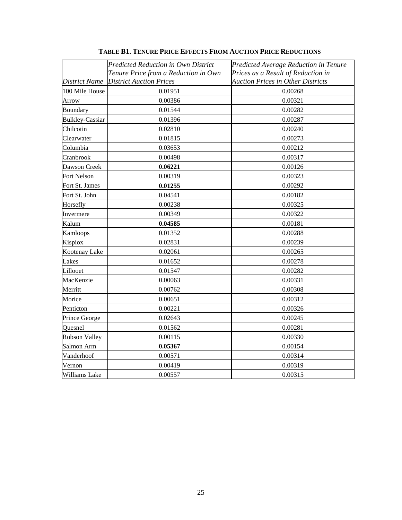|                        | <b>Predicted Reduction in Own District</b><br>Tenure Price from a Reduction in Own | Predicted Average Reduction in Tenure<br>Prices as a Result of Reduction in |
|------------------------|------------------------------------------------------------------------------------|-----------------------------------------------------------------------------|
| District Name          | <b>District Auction Prices</b>                                                     | <b>Auction Prices in Other Districts</b>                                    |
| 100 Mile House         | 0.01951                                                                            | 0.00268                                                                     |
| Arrow                  | 0.00386                                                                            | 0.00321                                                                     |
| Boundary               | 0.01544                                                                            | 0.00282                                                                     |
| <b>Bulkley-Cassiar</b> | 0.01396                                                                            | 0.00287                                                                     |
| Chilcotin              | 0.02810                                                                            | 0.00240                                                                     |
| Clearwater             | 0.01815                                                                            | 0.00273                                                                     |
| Columbia               | 0.03653                                                                            | 0.00212                                                                     |
| Cranbrook              | 0.00498                                                                            | 0.00317                                                                     |
| Dawson Creek           | 0.06221                                                                            | 0.00126                                                                     |
| Fort Nelson            | 0.00319                                                                            | 0.00323                                                                     |
| Fort St. James         | 0.01255                                                                            | 0.00292                                                                     |
| Fort St. John          | 0.04541                                                                            | 0.00182                                                                     |
| Horsefly               | 0.00238                                                                            | 0.00325                                                                     |
| Invermere              | 0.00349                                                                            | 0.00322                                                                     |
| Kalum                  | 0.04585                                                                            | 0.00181                                                                     |
| Kamloops               | 0.01352                                                                            | 0.00288                                                                     |
| Kispiox                | 0.02831                                                                            | 0.00239                                                                     |
| Kootenay Lake          | 0.02061                                                                            | 0.00265                                                                     |
| Lakes                  | 0.01652                                                                            | 0.00278                                                                     |
| Lillooet               | 0.01547                                                                            | 0.00282                                                                     |
| MacKenzie              | 0.00063                                                                            | 0.00331                                                                     |
| Merritt                | 0.00762                                                                            | 0.00308                                                                     |
| Morice                 | 0.00651                                                                            | 0.00312                                                                     |
| Penticton              | 0.00221                                                                            | 0.00326                                                                     |
| Prince George          | 0.02643                                                                            | 0.00245                                                                     |
| Quesnel                | 0.01562                                                                            | 0.00281                                                                     |
| Robson Valley          | 0.00115                                                                            | 0.00330                                                                     |
| Salmon Arm             | 0.05367                                                                            | 0.00154                                                                     |
| Vanderhoof             | 0.00571                                                                            | 0.00314                                                                     |
| Vernon                 | 0.00419                                                                            | 0.00319                                                                     |
| Williams Lake          | 0.00557                                                                            | 0.00315                                                                     |

**TABLE B1. TENURE PRICE EFFECTS FROM AUCTION PRICE REDUCTIONS**